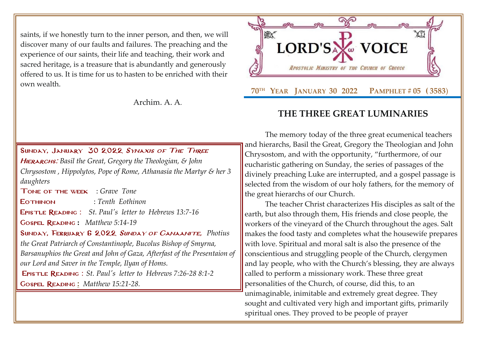saints, if we honestly turn to the inner person, and then, we will discover many of our faults and failures. The preaching and the experience of our saints, their life and teaching, their work and sacred heritage, is a treasure that is abundantly and generously offered to us. It is time for us to hasten to be enriched with their own wealth.

Archim. A. A.

## SUNDAY, JANUARY 30 2022 SYNAXIS OF THE THREE Hierarchs: *[Basil the Great, Gregory the Theologian, & John](http://www.goarch.org/chapel/saints?contentid=408&PCode=15LS&D=S&date=01/30/2022)  [Chrysostom](http://www.goarch.org/chapel/saints?contentid=408&PCode=15LS&D=S&date=01/30/2022) , Hippolytos, Pope of Rome, Athanasia the Martyr & her 3 daughters*

Tone of the week : *Grave Tone*

Eothinon : *Tenth Eothinon*

Epistle Reading : *[St. Paul's letter to](http://www.goarch.org/chapel/lectionary?type=E&code=110&event=291&date=11/14/2021) [Hebrews 13:7-16](http://www.goarch.org/chapel/lectionary?type=E&code=110&event=291&date=11/14/2021)*

Gospel Reading **:** *[Matthew 5:14-19](http://www.goarch.org/chapel/lectionary?type=G&code=402&event=408)*

Sunday, February 6 2022 [Sunday of Canaanite,](http://www.goarch.org/chapel/saints?contentid=408&PCode=15LS&D=S&date=01/30/2022) *[Photius](http://www.goarch.org/chapel/saints?contentid=408&PCode=15LS&D=S&date=01/30/2022)  [the Great Patriarch of Constantinople,](http://www.goarch.org/chapel/saints?contentid=408&PCode=15LS&D=S&date=01/30/2022) Bucolus Bishop of Smyrna, [Barsanuphios the Great and John of Gaza, Afterfast of the Presentaion of](http://www.goarch.org/chapel/saints?contentid=408&PCode=15LS&D=S&date=01/30/2022)  [our Lord and Saver in the Temple, Ilyan of Homs.](http://www.goarch.org/chapel/saints?contentid=408&PCode=15LS&D=S&date=01/30/2022)* Epistle Reading : *[St. Paul's letter to](http://www.goarch.org/chapel/lectionary?type=E&code=110&event=291&date=11/14/2021) [Hebrews 7:26-28](http://www.goarch.org/chapel/lectionary?type=E&code=110&event=291&date=11/14/2021) 8:1-[2](http://www.goarch.org/chapel/lectionary?type=E&code=110&event=291&date=11/14/2021)*

Gospel Reading **[:](http://www.goarch.org/chapel/lectionary?type=G&code=362&event=218)** *[Matthew 15:21-28.](http://www.goarch.org/chapel/lectionary?type=G&code=402&event=408)*

KAY LORD'SA **WE VOICE** APOSTOLIC MINISTRY OF THE CHURCH OF GREECE  **70TH YEAR JANUARY 30 2022 PAMPHLET # 05 ( 3583**)

# **THE THREE GREAT LUMINARIES**

The memory today of the three great ecumenical teachers and hierarchs, Basil the Great, Gregory the Theologian and John Chrysostom, and with the opportunity, "furthermore, of our eucharistic gathering on Sunday, the series of passages of the divinely preaching Luke are interrupted, and a gospel passage is selected from the wisdom of our holy fathers, for the memory of the great hierarchs of our Church.

The teacher Christ characterizes His disciples as salt of the earth, but also through them, His friends and close people, the workers of the vineyard of the Church throughout the ages. Salt makes the food tasty and completes what the housewife prepares with love. Spiritual and moral salt is also the presence of the conscientious and struggling people of the Church, clergymen and lay people, who with the Church's blessing, they are always called to perform a missionary work. These three great personalities of the Church, of course, did this, to an unimaginable, inimitable and extremely great degree. They sought and cultivated very high and important gifts, primarily spiritual ones. They proved to be people of prayer